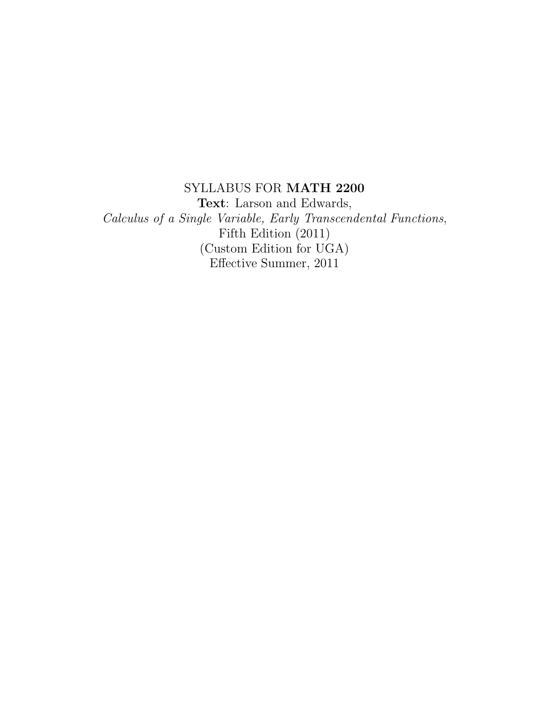# SYLLABUS FOR MATH 2200

Text: Larson and Edwards, Calculus of a Single Variable, Early Transcendental Functions, Fifth Edition (2011) (Custom Edition for UGA) Effective Summer, 2011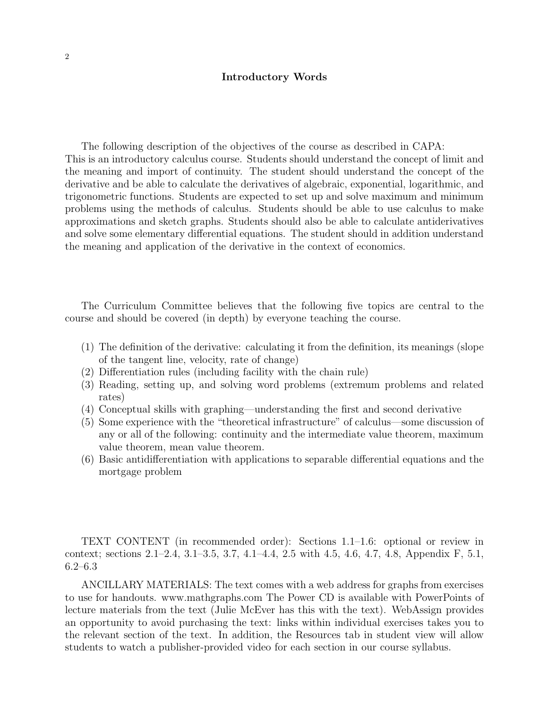#### Introductory Words

The following description of the objectives of the course as described in CAPA: This is an introductory calculus course. Students should understand the concept of limit and the meaning and import of continuity. The student should understand the concept of the derivative and be able to calculate the derivatives of algebraic, exponential, logarithmic, and trigonometric functions. Students are expected to set up and solve maximum and minimum problems using the methods of calculus. Students should be able to use calculus to make approximations and sketch graphs. Students should also be able to calculate antiderivatives and solve some elementary differential equations. The student should in addition understand the meaning and application of the derivative in the context of economics.

The Curriculum Committee believes that the following five topics are central to the course and should be covered (in depth) by everyone teaching the course.

- (1) The definition of the derivative: calculating it from the definition, its meanings (slope of the tangent line, velocity, rate of change)
- (2) Differentiation rules (including facility with the chain rule)
- (3) Reading, setting up, and solving word problems (extremum problems and related rates)
- (4) Conceptual skills with graphing—understanding the first and second derivative
- (5) Some experience with the "theoretical infrastructure" of calculus—some discussion of any or all of the following: continuity and the intermediate value theorem, maximum value theorem, mean value theorem.
- (6) Basic antidifferentiation with applications to separable differential equations and the mortgage problem

TEXT CONTENT (in recommended order): Sections 1.1–1.6: optional or review in context; sections 2.1–2.4, 3.1–3.5, 3.7, 4.1–4.4, 2.5 with 4.5, 4.6, 4.7, 4.8, Appendix F, 5.1, 6.2–6.3

ANCILLARY MATERIALS: The text comes with a web address for graphs from exercises to use for handouts. www.mathgraphs.com The Power CD is available with PowerPoints of lecture materials from the text (Julie McEver has this with the text). WebAssign provides an opportunity to avoid purchasing the text: links within individual exercises takes you to the relevant section of the text. In addition, the Resources tab in student view will allow students to watch a publisher-provided video for each section in our course syllabus.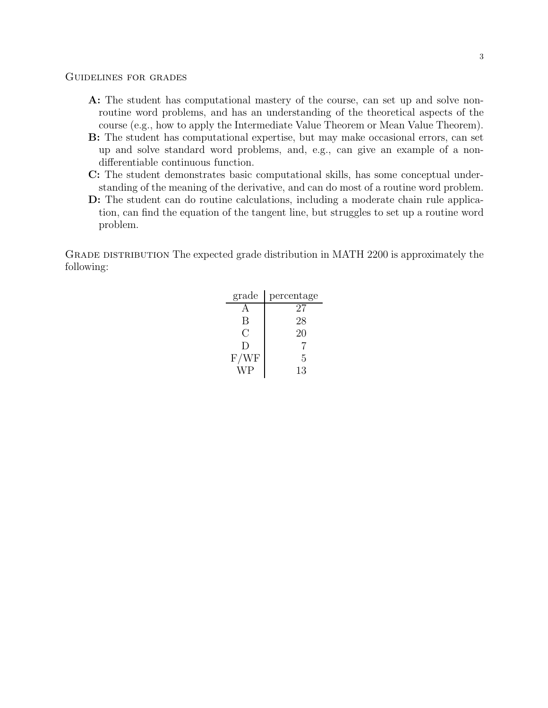- A: The student has computational mastery of the course, can set up and solve nonroutine word problems, and has an understanding of the theoretical aspects of the course (e.g., how to apply the Intermediate Value Theorem or Mean Value Theorem).
- B: The student has computational expertise, but may make occasional errors, can set up and solve standard word problems, and, e.g., can give an example of a nondifferentiable continuous function.
- C: The student demonstrates basic computational skills, has some conceptual understanding of the meaning of the derivative, and can do most of a routine word problem.
- D: The student can do routine calculations, including a moderate chain rule application, can find the equation of the tangent line, but struggles to set up a routine word problem.

Grade distribution The expected grade distribution in MATH 2200 is approximately the following:

| grade         | percentage |
|---------------|------------|
|               | 27         |
| B             | 28         |
| $\mathcal{C}$ | 20         |
| $\Box$        |            |
| F/WF          | 5          |
| W P           | 13         |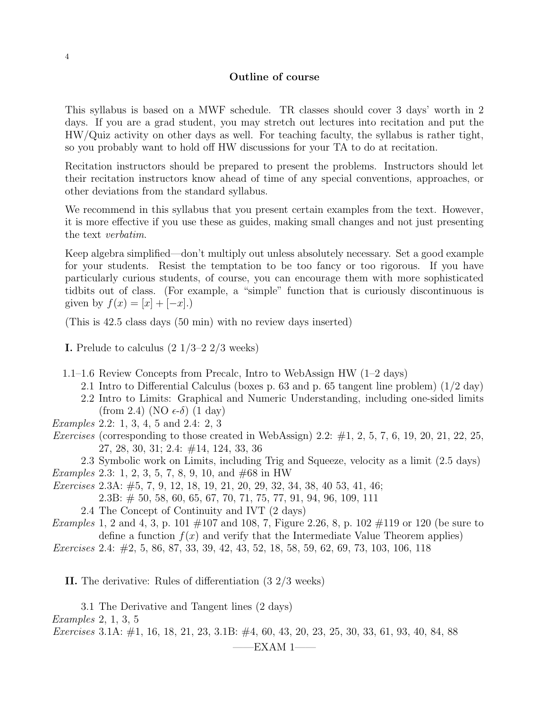## Outline of course

This syllabus is based on a MWF schedule. TR classes should cover 3 days' worth in 2 days. If you are a grad student, you may stretch out lectures into recitation and put the HW/Quiz activity on other days as well. For teaching faculty, the syllabus is rather tight, so you probably want to hold off HW discussions for your TA to do at recitation.

Recitation instructors should be prepared to present the problems. Instructors should let their recitation instructors know ahead of time of any special conventions, approaches, or other deviations from the standard syllabus.

We recommend in this syllabus that you present certain examples from the text. However, it is more effective if you use these as guides, making small changes and not just presenting the text verbatim.

Keep algebra simplified—don't multiply out unless absolutely necessary. Set a good example for your students. Resist the temptation to be too fancy or too rigorous. If you have particularly curious students, of course, you can encourage them with more sophisticated tidbits out of class. (For example, a "simple" function that is curiously discontinuous is given by  $f(x) = [x] + [-x]$ .

(This is 42.5 class days (50 min) with no review days inserted)

- **I.** Prelude to calculus  $(2 \frac{1}{3} 2 \frac{2}{3} \text{ weeks})$
- 1.1–1.6 Review Concepts from Precalc, Intro to WebAssign HW (1–2 days)
	- 2.1 Intro to Differential Calculus (boxes p. 63 and p. 65 tangent line problem) (1/2 day)
	- 2.2 Intro to Limits: Graphical and Numeric Understanding, including one-sided limits (from 2.4) (NO  $\epsilon$ - $\delta$ ) (1 day)
- Examples 2.2: 1, 3, 4, 5 and 2.4: 2, 3
- *Exercises* (corresponding to those created in WebAssign) 2.2:  $\#1$ , 2, 5, 7, 6, 19, 20, 21, 22, 25, 27, 28, 30, 31; 2.4: #14, 124, 33, 36

2.3 Symbolic work on Limits, including Trig and Squeeze, velocity as a limit (2.5 days) *Examples* 2.3: 1, 2, 3, 5, 7, 8, 9, 10, and  $\#68$  in HW

Exercises 2.3A: #5, 7, 9, 12, 18, 19, 21, 20, 29, 32, 34, 38, 40 53, 41, 46;

2.3B: # 50, 58, 60, 65, 67, 70, 71, 75, 77, 91, 94, 96, 109, 111

2.4 The Concept of Continuity and IVT (2 days)

*Examples* 1, 2 and 4, 3, p. 101  $\#107$  and 108, 7, Figure 2.26, 8, p. 102  $\#119$  or 120 (be sure to define a function  $f(x)$  and verify that the Intermediate Value Theorem applies)

Exercises 2.4: #2, 5, 86, 87, 33, 39, 42, 43, 52, 18, 58, 59, 62, 69, 73, 103, 106, 118

II. The derivative: Rules of differentiation (3 2/3 weeks)

3.1 The Derivative and Tangent lines (2 days) Examples 2, 1, 3, 5 Exercises 3.1A: #1, 16, 18, 21, 23, 3.1B: #4, 60, 43, 20, 23, 25, 30, 33, 61, 93, 40, 84, 88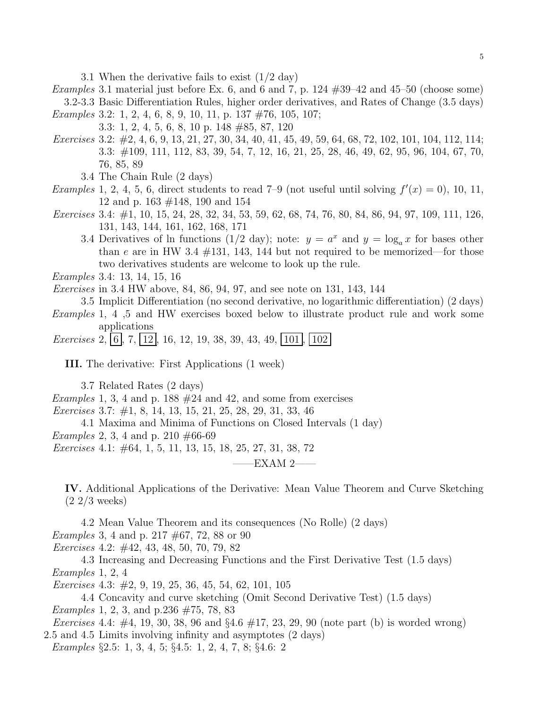3.1 When the derivative fails to exist (1/2 day)

*Examples* 3.1 material just before Ex. 6, and 6 and 7, p.  $124 \#39-42$  and  $45-50$  (choose some) 3.2-3.3 Basic Differentiation Rules, higher order derivatives, and Rates of Change (3.5 days) Examples 3.2: 1, 2, 4, 6, 8, 9, 10, 11, p. 137 #76, 105, 107;

3.3: 1, 2, 4, 5, 6, 8, 10 p. 148 #85, 87, 120

- Exercises 3.2: #2, 4, 6, 9, 13, 21, 27, 30, 34, 40, 41, 45, 49, 59, 64, 68, 72, 102, 101, 104, 112, 114; 3.3: #109, 111, 112, 83, 39, 54, 7, 12, 16, 21, 25, 28, 46, 49, 62, 95, 96, 104, 67, 70, 76, 85, 89
	- 3.4 The Chain Rule (2 days)
- *Examples* 1, 2, 4, 5, 6, direct students to read 7–9 (not useful until solving  $f'(x) = 0$ ), 10, 11, 12 and p. 163 #148, 190 and 154
- Exercises 3.4: #1, 10, 15, 24, 28, 32, 34, 53, 59, 62, 68, 74, 76, 80, 84, 86, 94, 97, 109, 111, 126, 131, 143, 144, 161, 162, 168, 171
	- 3.4 Derivatives of ln functions (1/2 day); note:  $y = a^x$  and  $y = \log_a x$  for bases other than e are in HW 3.4  $\#131$ , 143, 144 but not required to be memorized—for those two derivatives students are welcome to look up the rule.
- Examples 3.4: 13, 14, 15, 16

Exercises in 3.4 HW above, 84, 86, 94, 97, and see note on 131, 143, 144

3.5 Implicit Differentiation (no second derivative, no logarithmic differentiation) (2 days)

Examples 1, 4 ,5 and HW exercises boxed below to illustrate product rule and work some applications

Exercises 2,  $\vert 6 \vert$ , 7,  $\vert 12 \vert$ , 16, 12, 19, 38, 39, 43, 49,  $\vert 101 \vert$ ,  $\vert 102 \vert$ 

III. The derivative: First Applications (1 week)

3.7 Related Rates (2 days)

Examples 1, 3, 4 and p. 188  $#24$  and 42, and some from exercises

Exercises 3.7: #1, 8, 14, 13, 15, 21, 25, 28, 29, 31, 33, 46

4.1 Maxima and Minima of Functions on Closed Intervals (1 day)

*Examples* 2, 3, 4 and p. 210  $\#66-69$ 

Exercises 4.1: #64, 1, 5, 11, 13, 15, 18, 25, 27, 31, 38, 72

 $-EXAMPLEXAM$  2-

IV. Additional Applications of the Derivative: Mean Value Theorem and Curve Sketching (2 2/3 weeks)

4.2 Mean Value Theorem and its consequences (No Rolle) (2 days) Examples 3, 4 and p. 217 #67, 72, 88 or 90

Exercises 4.2: #42, 43, 48, 50, 70, 79, 82

4.3 Increasing and Decreasing Functions and the First Derivative Test (1.5 days) Examples 1, 2, 4

Exercises 4.3: #2, 9, 19, 25, 36, 45, 54, 62, 101, 105

4.4 Concavity and curve sketching (Omit Second Derivative Test) (1.5 days) Examples 1, 2, 3, and p.236 #75, 78, 83

*Exercises* 4.4:  $\#4$ , 19, 30, 38, 96 and  $\S 4.6 \#17$ , 23, 29, 90 (note part (b) is worded wrong) 2.5 and 4.5 Limits involving infinity and asymptotes (2 days)

Examples §2.5: 1, 3, 4, 5; §4.5: 1, 2, 4, 7, 8; §4.6: 2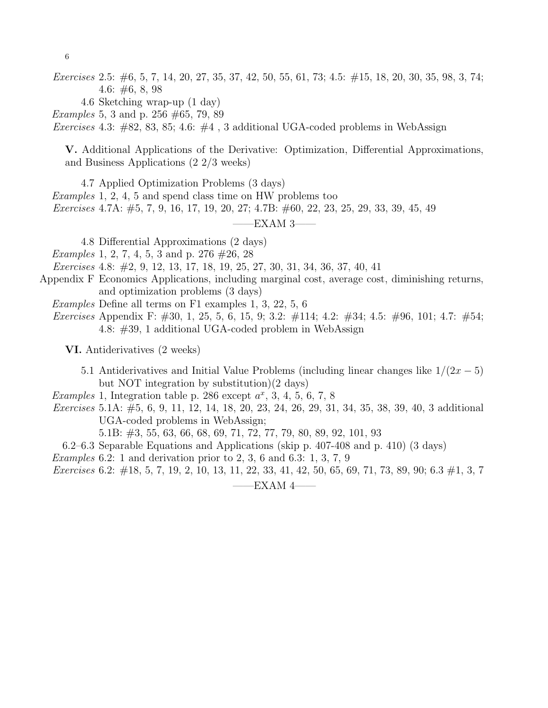Exercises 2.5: #6, 5, 7, 14, 20, 27, 35, 37, 42, 50, 55, 61, 73; 4.5: #15, 18, 20, 30, 35, 98, 3, 74; 4.6: #6, 8, 98

4.6 Sketching wrap-up (1 day)

*Examples* 5, 3 and p. 256  $\#65$ , 79, 89

Exercises 4.3:  $\#82$ , 83, 85; 4.6:  $\#4$ , 3 additional UGA-coded problems in WebAssign

V. Additional Applications of the Derivative: Optimization, Differential Approximations, and Business Applications (2 2/3 weeks)

4.7 Applied Optimization Problems (3 days)

Examples 1, 2, 4, 5 and spend class time on HW problems too

Exercises 4.7A: #5, 7, 9, 16, 17, 19, 20, 27; 4.7B: #60, 22, 23, 25, 29, 33, 39, 45, 49

 $-$ EXAM 3 $-$ 

4.8 Differential Approximations (2 days)

Examples 1, 2, 7, 4, 5, 3 and p. 276 #26, 28

Exercises 4.8: #2, 9, 12, 13, 17, 18, 19, 25, 27, 30, 31, 34, 36, 37, 40, 41

- Appendix F Economics Applications, including marginal cost, average cost, diminishing returns, and optimization problems (3 days)
	- Examples Define all terms on F1 examples 1, 3, 22, 5, 6
	- Exercises Appendix F: #30, 1, 25, 5, 6, 15, 9; 3.2: #114; 4.2: #34; 4.5: #96, 101; 4.7: #54; 4.8: #39, 1 additional UGA-coded problem in WebAssign

VI. Antiderivatives (2 weeks)

5.1 Antiderivatives and Initial Value Problems (including linear changes like  $1/(2x-5)$ ) but NOT integration by substitution)(2 days)

Examples 1, Integration table p. 286 except  $a^x$ , 3, 4, 5, 6, 7, 8

*Exercises* 5.1A:  $\#5$ , 6, 9, 11, 12, 14, 18, 20, 23, 24, 26, 29, 31, 34, 35, 38, 39, 40, 3 additional UGA-coded problems in WebAssign;

5.1B: #3, 55, 63, 66, 68, 69, 71, 72, 77, 79, 80, 89, 92, 101, 93

6.2–6.3 Separable Equations and Applications (skip p. 407-408 and p. 410) (3 days)

*Examples* 6.2: 1 and derivation prior to 2, 3, 6 and 6.3: 1, 3, 7, 9

Exercises 6.2: #18, 5, 7, 19, 2, 10, 13, 11, 22, 33, 41, 42, 50, 65, 69, 71, 73, 89, 90; 6.3 #1, 3, 7

 $-EXAMPLEXAM$  4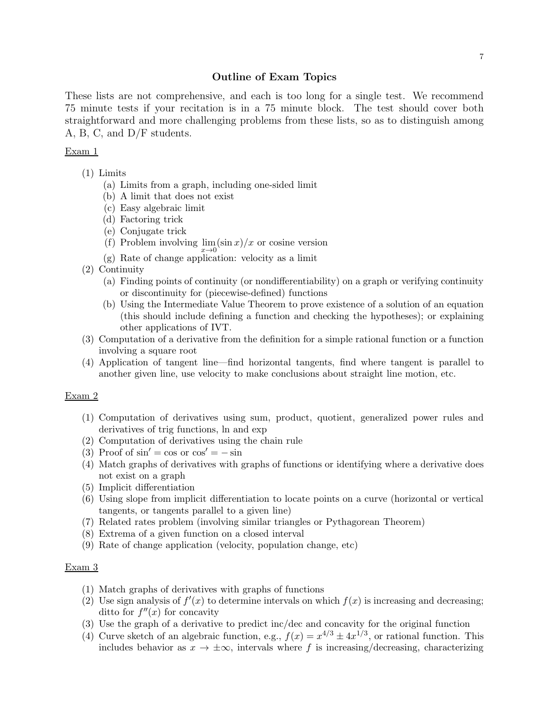## Outline of Exam Topics

These lists are not comprehensive, and each is too long for a single test. We recommend 75 minute tests if your recitation is in a 75 minute block. The test should cover both straightforward and more challenging problems from these lists, so as to distinguish among A, B, C, and D/F students.

#### Exam 1

- (1) Limits
	- (a) Limits from a graph, including one-sided limit
	- (b) A limit that does not exist
	- (c) Easy algebraic limit
	- (d) Factoring trick
	- (e) Conjugate trick
	- (f) Problem involving  $\lim_{x\to 0} (\sin x)/x$  or cosine version
	- (g) Rate of change application: velocity as a limit
- (2) Continuity
	- (a) Finding points of continuity (or nondifferentiability) on a graph or verifying continuity or discontinuity for (piecewise-defined) functions
	- (b) Using the Intermediate Value Theorem to prove existence of a solution of an equation (this should include defining a function and checking the hypotheses); or explaining other applications of IVT.
- (3) Computation of a derivative from the definition for a simple rational function or a function involving a square root
- (4) Application of tangent line—find horizontal tangents, find where tangent is parallel to another given line, use velocity to make conclusions about straight line motion, etc.

## Exam 2

- (1) Computation of derivatives using sum, product, quotient, generalized power rules and derivatives of trig functions, ln and exp
- (2) Computation of derivatives using the chain rule
- (3) Proof of  $\sin' = \cos$  or  $\cos' = -\sin$
- (4) Match graphs of derivatives with graphs of functions or identifying where a derivative does not exist on a graph
- (5) Implicit differentiation
- (6) Using slope from implicit differentiation to locate points on a curve (horizontal or vertical tangents, or tangents parallel to a given line)
- (7) Related rates problem (involving similar triangles or Pythagorean Theorem)
- (8) Extrema of a given function on a closed interval
- (9) Rate of change application (velocity, population change, etc)

### Exam 3

- (1) Match graphs of derivatives with graphs of functions
- (2) Use sign analysis of  $f'(x)$  to determine intervals on which  $f(x)$  is increasing and decreasing; ditto for  $f''(x)$  for concavity
- (3) Use the graph of a derivative to predict inc/dec and concavity for the original function
- (4) Curve sketch of an algebraic function, e.g.,  $f(x) = x^{4/3} \pm 4x^{1/3}$ , or rational function. This includes behavior as  $x \to \pm \infty$ , intervals where f is increasing/decreasing, characterizing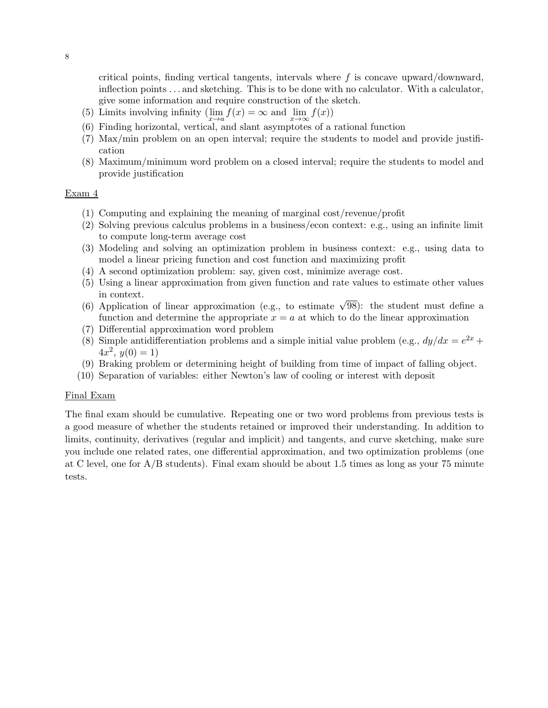critical points, finding vertical tangents, intervals where  $f$  is concave upward/downward, inflection points . . . and sketching. This is to be done with no calculator. With a calculator, give some information and require construction of the sketch.

- (5) Limits involving infinity  $(\lim_{x \to a} f(x) = \infty \text{ and } \lim_{x \to \infty} f(x))$
- (6) Finding horizontal, vertical, and slant asymptotes of a rational function
- (7) Max/min problem on an open interval; require the students to model and provide justification
- (8) Maximum/minimum word problem on a closed interval; require the students to model and provide justification

## Exam 4

- (1) Computing and explaining the meaning of marginal cost/revenue/profit
- (2) Solving previous calculus problems in a business/econ context: e.g., using an infinite limit to compute long-term average cost
- (3) Modeling and solving an optimization problem in business context: e.g., using data to model a linear pricing function and cost function and maximizing profit
- (4) A second optimization problem: say, given cost, minimize average cost.
- (5) Using a linear approximation from given function and rate values to estimate other values in context.
- (6) Application of linear approximation (e.g., to estimate  $\sqrt{98}$ ): the student must define a function and determine the appropriate  $x = a$  at which to do the linear approximation
- (7) Differential approximation word problem
- (8) Simple antidifferentiation problems and a simple initial value problem (e.g.,  $dy/dx = e^{2x} +$  $4x^2, y(0) = 1$
- (9) Braking problem or determining height of building from time of impact of falling object.
- (10) Separation of variables: either Newton's law of cooling or interest with deposit

#### Final Exam

The final exam should be cumulative. Repeating one or two word problems from previous tests is a good measure of whether the students retained or improved their understanding. In addition to limits, continuity, derivatives (regular and implicit) and tangents, and curve sketching, make sure you include one related rates, one differential approximation, and two optimization problems (one at C level, one for  $A/B$  students). Final exam should be about 1.5 times as long as your 75 minute tests.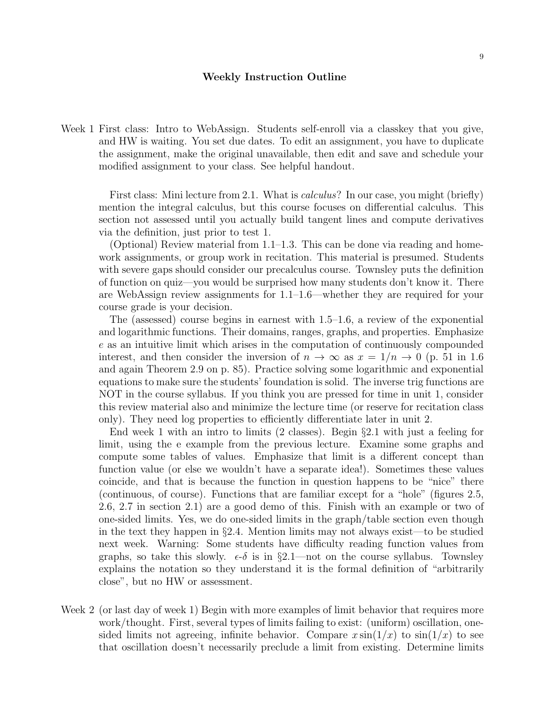#### Weekly Instruction Outline

Week 1 First class: Intro to WebAssign. Students self-enroll via a classkey that you give, and HW is waiting. You set due dates. To edit an assignment, you have to duplicate the assignment, make the original unavailable, then edit and save and schedule your modified assignment to your class. See helpful handout.

First class: Mini lecture from 2.1. What is *calculus*? In our case, you might (briefly) mention the integral calculus, but this course focuses on differential calculus. This section not assessed until you actually build tangent lines and compute derivatives via the definition, just prior to test 1.

(Optional) Review material from 1.1–1.3. This can be done via reading and homework assignments, or group work in recitation. This material is presumed. Students with severe gaps should consider our precalculus course. Townsley puts the definition of function on quiz—you would be surprised how many students don't know it. There are WebAssign review assignments for 1.1–1.6—whether they are required for your course grade is your decision.

The (assessed) course begins in earnest with 1.5–1.6, a review of the exponential and logarithmic functions. Their domains, ranges, graphs, and properties. Emphasize e as an intuitive limit which arises in the computation of continuously compounded interest, and then consider the inversion of  $n \to \infty$  as  $x = 1/n \to 0$  (p. 51 in 1.6) and again Theorem 2.9 on p. 85). Practice solving some logarithmic and exponential equations to make sure the students' foundation is solid. The inverse trig functions are NOT in the course syllabus. If you think you are pressed for time in unit 1, consider this review material also and minimize the lecture time (or reserve for recitation class only). They need log properties to efficiently differentiate later in unit 2.

End week 1 with an intro to limits (2 classes). Begin §2.1 with just a feeling for limit, using the e example from the previous lecture. Examine some graphs and compute some tables of values. Emphasize that limit is a different concept than function value (or else we wouldn't have a separate idea!). Sometimes these values coincide, and that is because the function in question happens to be "nice" there (continuous, of course). Functions that are familiar except for a "hole" (figures 2.5, 2.6, 2.7 in section 2.1) are a good demo of this. Finish with an example or two of one-sided limits. Yes, we do one-sided limits in the graph/table section even though in the text they happen in §2.4. Mention limits may not always exist—to be studied next week. Warning: Some students have difficulty reading function values from graphs, so take this slowly.  $\epsilon \cdot \delta$  is in §2.1—not on the course syllabus. Townsley explains the notation so they understand it is the formal definition of "arbitrarily close", but no HW or assessment.

Week 2 (or last day of week 1) Begin with more examples of limit behavior that requires more work/thought. First, several types of limits failing to exist: (uniform) oscillation, onesided limits not agreeing, infinite behavior. Compare  $x \sin(1/x)$  to  $\sin(1/x)$  to see that oscillation doesn't necessarily preclude a limit from existing. Determine limits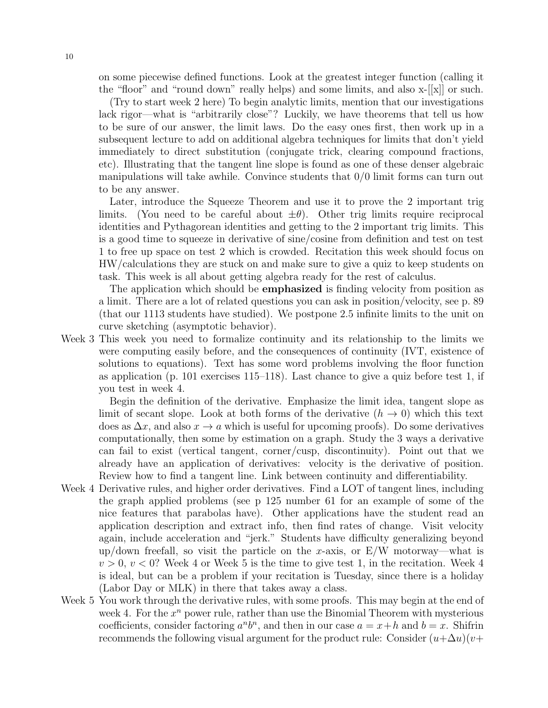on some piecewise defined functions. Look at the greatest integer function (calling it the "floor" and "round down" really helps) and some limits, and also x-[[x]] or such.

(Try to start week 2 here) To begin analytic limits, mention that our investigations lack rigor—what is "arbitrarily close"? Luckily, we have theorems that tell us how to be sure of our answer, the limit laws. Do the easy ones first, then work up in a subsequent lecture to add on additional algebra techniques for limits that don't yield immediately to direct substitution (conjugate trick, clearing compound fractions, etc). Illustrating that the tangent line slope is found as one of these denser algebraic manipulations will take awhile. Convince students that  $0/0$  limit forms can turn out to be any answer.

Later, introduce the Squeeze Theorem and use it to prove the 2 important trig limits. (You need to be careful about  $\pm \theta$ ). Other trig limits require reciprocal identities and Pythagorean identities and getting to the 2 important trig limits. This is a good time to squeeze in derivative of sine/cosine from definition and test on test 1 to free up space on test 2 which is crowded. Recitation this week should focus on HW/calculations they are stuck on and make sure to give a quiz to keep students on task. This week is all about getting algebra ready for the rest of calculus.

The application which should be **emphasized** is finding velocity from position as a limit. There are a lot of related questions you can ask in position/velocity, see p. 89 (that our 1113 students have studied). We postpone 2.5 infinite limits to the unit on curve sketching (asymptotic behavior).

Week 3 This week you need to formalize continuity and its relationship to the limits we were computing easily before, and the consequences of continuity (IVT, existence of solutions to equations). Text has some word problems involving the floor function as application (p. 101 exercises 115–118). Last chance to give a quiz before test 1, if you test in week 4.

Begin the definition of the derivative. Emphasize the limit idea, tangent slope as limit of secant slope. Look at both forms of the derivative  $(h \to 0)$  which this text does as  $\Delta x$ , and also  $x \to a$  which is useful for upcoming proofs). Do some derivatives computationally, then some by estimation on a graph. Study the 3 ways a derivative can fail to exist (vertical tangent, corner/cusp, discontinuity). Point out that we already have an application of derivatives: velocity is the derivative of position. Review how to find a tangent line. Link between continuity and differentiability.

- Week 4 Derivative rules, and higher order derivatives. Find a LOT of tangent lines, including the graph applied problems (see p 125 number 61 for an example of some of the nice features that parabolas have). Other applications have the student read an application description and extract info, then find rates of change. Visit velocity again, include acceleration and "jerk." Students have difficulty generalizing beyond up/down freefall, so visit the particle on the x-axis, or  $E/W$  motorway—what is  $v > 0$ ,  $v < 0$ ? Week 4 or Week 5 is the time to give test 1, in the recitation. Week 4 is ideal, but can be a problem if your recitation is Tuesday, since there is a holiday (Labor Day or MLK) in there that takes away a class.
- Week 5 You work through the derivative rules, with some proofs. This may begin at the end of week 4. For the  $x^n$  power rule, rather than use the Binomial Theorem with mysterious coefficients, consider factoring  $a^n b^n$ , and then in our case  $a = x + h$  and  $b = x$ . Shifrin recommends the following visual argument for the product rule: Consider  $(u+\Delta u)(v+\Delta u)$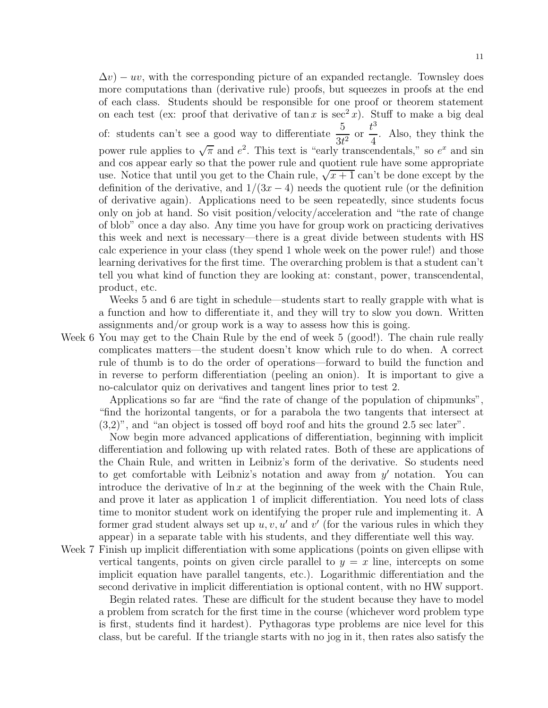$\Delta v$ ) – uv, with the corresponding picture of an expanded rectangle. Townsley does more computations than (derivative rule) proofs, but squeezes in proofs at the end of each class. Students should be responsible for one proof or theorem statement on each test (ex: proof that derivative of tan x is  $\sec^2 x$ ). Stuff to make a big deal of: students can't see a good way to differentiate  $\frac{5}{24}$  $\frac{8}{3t^2}$  or  $t^3$ 4 . Also, they think the power rule applies to  $\sqrt{\pi}$  and  $e^2$ . This text is "early transcendentals," so  $e^x$  and sin and cos appear early so that the power rule and quotient rule have some appropriate use. Notice that until you get to the Chain rule,  $\sqrt{x+1}$  can't be done except by the definition of the derivative, and  $1/(3x-4)$  needs the quotient rule (or the definition of derivative again). Applications need to be seen repeatedly, since students focus only on job at hand. So visit position/velocity/acceleration and "the rate of change of blob" once a day also. Any time you have for group work on practicing derivatives this week and next is necessary—there is a great divide between students with HS calc experience in your class (they spend 1 whole week on the power rule!) and those learning derivatives for the first time. The overarching problem is that a student can't tell you what kind of function they are looking at: constant, power, transcendental, product, etc.

Weeks 5 and 6 are tight in schedule—students start to really grapple with what is a function and how to differentiate it, and they will try to slow you down. Written assignments and/or group work is a way to assess how this is going.

Week 6 You may get to the Chain Rule by the end of week 5 (good!). The chain rule really complicates matters—the student doesn't know which rule to do when. A correct rule of thumb is to do the order of operations—forward to build the function and in reverse to perform differentiation (peeling an onion). It is important to give a no-calculator quiz on derivatives and tangent lines prior to test 2.

Applications so far are "find the rate of change of the population of chipmunks", "find the horizontal tangents, or for a parabola the two tangents that intersect at (3,2)", and "an object is tossed off boyd roof and hits the ground 2.5 sec later".

Now begin more advanced applications of differentiation, beginning with implicit differentiation and following up with related rates. Both of these are applications of the Chain Rule, and written in Leibniz's form of the derivative. So students need to get comfortable with Leibniz's notation and away from  $y'$  notation. You can introduce the derivative of  $\ln x$  at the beginning of the week with the Chain Rule, and prove it later as application 1 of implicit differentiation. You need lots of class time to monitor student work on identifying the proper rule and implementing it. A former grad student always set up  $u, v, u'$  and  $v'$  (for the various rules in which they appear) in a separate table with his students, and they differentiate well this way.

Week 7 Finish up implicit differentiation with some applications (points on given ellipse with vertical tangents, points on given circle parallel to  $y = x$  line, intercepts on some implicit equation have parallel tangents, etc.). Logarithmic differentiation and the second derivative in implicit differentiation is optional content, with no HW support.

Begin related rates. These are difficult for the student because they have to model a problem from scratch for the first time in the course (whichever word problem type is first, students find it hardest). Pythagoras type problems are nice level for this class, but be careful. If the triangle starts with no jog in it, then rates also satisfy the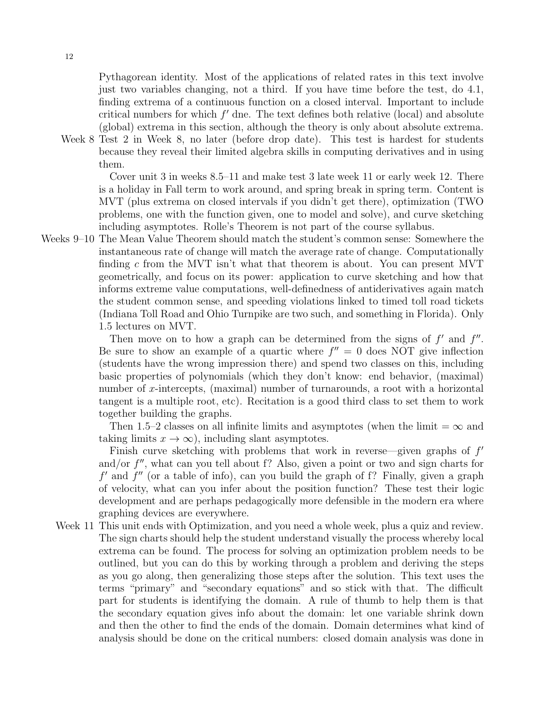Pythagorean identity. Most of the applications of related rates in this text involve just two variables changing, not a third. If you have time before the test, do 4.1, finding extrema of a continuous function on a closed interval. Important to include critical numbers for which  $f'$  dne. The text defines both relative (local) and absolute (global) extrema in this section, although the theory is only about absolute extrema.

Week 8 Test 2 in Week 8, no later (before drop date). This test is hardest for students because they reveal their limited algebra skills in computing derivatives and in using them.

Cover unit 3 in weeks 8.5–11 and make test 3 late week 11 or early week 12. There is a holiday in Fall term to work around, and spring break in spring term. Content is MVT (plus extrema on closed intervals if you didn't get there), optimization (TWO problems, one with the function given, one to model and solve), and curve sketching including asymptotes. Rolle's Theorem is not part of the course syllabus.

Weeks 9–10 The Mean Value Theorem should match the student's common sense: Somewhere the instantaneous rate of change will match the average rate of change. Computationally finding c from the MVT isn't what that theorem is about. You can present MVT geometrically, and focus on its power: application to curve sketching and how that informs extreme value computations, well-definedness of antiderivatives again match the student common sense, and speeding violations linked to timed toll road tickets (Indiana Toll Road and Ohio Turnpike are two such, and something in Florida). Only 1.5 lectures on MVT.

Then move on to how a graph can be determined from the signs of  $f'$  and  $f''$ . Be sure to show an example of a quartic where  $f'' = 0$  does NOT give inflection (students have the wrong impression there) and spend two classes on this, including basic properties of polynomials (which they don't know: end behavior, (maximal) number of x-intercepts, (maximal) number of turnarounds, a root with a horizontal tangent is a multiple root, etc). Recitation is a good third class to set them to work together building the graphs.

Then 1.5–2 classes on all infinite limits and asymptotes (when the limit =  $\infty$  and taking limits  $x \to \infty$ , including slant asymptotes.

Finish curve sketching with problems that work in reverse—given graphs of  $f'$ and/or  $f''$ , what can you tell about f? Also, given a point or two and sign charts for  $f'$  and  $f''$  (or a table of info), can you build the graph of f? Finally, given a graph of velocity, what can you infer about the position function? These test their logic development and are perhaps pedagogically more defensible in the modern era where graphing devices are everywhere.

Week 11 This unit ends with Optimization, and you need a whole week, plus a quiz and review. The sign charts should help the student understand visually the process whereby local extrema can be found. The process for solving an optimization problem needs to be outlined, but you can do this by working through a problem and deriving the steps as you go along, then generalizing those steps after the solution. This text uses the terms "primary" and "secondary equations" and so stick with that. The difficult part for students is identifying the domain. A rule of thumb to help them is that the secondary equation gives info about the domain: let one variable shrink down and then the other to find the ends of the domain. Domain determines what kind of analysis should be done on the critical numbers: closed domain analysis was done in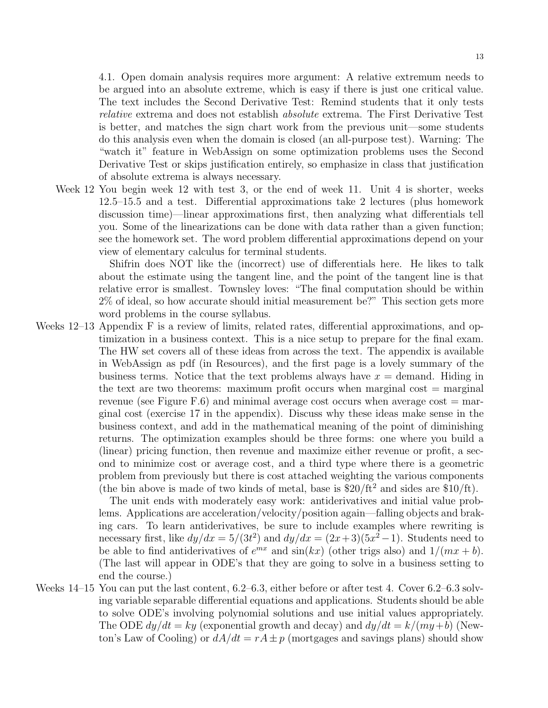4.1. Open domain analysis requires more argument: A relative extremum needs to be argued into an absolute extreme, which is easy if there is just one critical value. The text includes the Second Derivative Test: Remind students that it only tests relative extrema and does not establish absolute extrema. The First Derivative Test is better, and matches the sign chart work from the previous unit—some students do this analysis even when the domain is closed (an all-purpose test). Warning: The "watch it" feature in WebAssign on some optimization problems uses the Second Derivative Test or skips justification entirely, so emphasize in class that justification of absolute extrema is always necessary.

Week 12 You begin week 12 with test 3, or the end of week 11. Unit 4 is shorter, weeks 12.5–15.5 and a test. Differential approximations take 2 lectures (plus homework discussion time)—linear approximations first, then analyzing what differentials tell you. Some of the linearizations can be done with data rather than a given function; see the homework set. The word problem differential approximations depend on your view of elementary calculus for terminal students.

> Shifrin does NOT like the (incorrect) use of differentials here. He likes to talk about the estimate using the tangent line, and the point of the tangent line is that relative error is smallest. Townsley loves: "The final computation should be within 2% of ideal, so how accurate should initial measurement be?" This section gets more word problems in the course syllabus.

Weeks 12–13 Appendix F is a review of limits, related rates, differential approximations, and optimization in a business context. This is a nice setup to prepare for the final exam. The HW set covers all of these ideas from across the text. The appendix is available in WebAssign as pdf (in Resources), and the first page is a lovely summary of the business terms. Notice that the text problems always have  $x =$  demand. Hiding in the text are two theorems: maximum profit occurs when marginal cost  $=$  marginal revenue (see Figure F.6) and minimal average cost occurs when average cost  $=$  marginal cost (exercise 17 in the appendix). Discuss why these ideas make sense in the business context, and add in the mathematical meaning of the point of diminishing returns. The optimization examples should be three forms: one where you build a (linear) pricing function, then revenue and maximize either revenue or profit, a second to minimize cost or average cost, and a third type where there is a geometric problem from previously but there is cost attached weighting the various components (the bin above is made of two kinds of metal, base is  $$20/ft<sup>2</sup>$  and sides are  $$10/ft$ ).

> The unit ends with moderately easy work: antiderivatives and initial value problems. Applications are acceleration/velocity/position again—falling objects and braking cars. To learn antiderivatives, be sure to include examples where rewriting is necessary first, like  $dy/dx = 5/(3t^2)$  and  $dy/dx = (2x+3)(5x^2-1)$ . Students need to be able to find antiderivatives of  $e^{mx}$  and  $sin(kx)$  (other trigs also) and  $1/(mx + b)$ . (The last will appear in ODE's that they are going to solve in a business setting to end the course.)

Weeks 14–15 You can put the last content, 6.2–6.3, either before or after test 4. Cover 6.2–6.3 solving variable separable differential equations and applications. Students should be able to solve ODE's involving polynomial solutions and use initial values appropriately. The ODE  $dy/dt = ky$  (exponential growth and decay) and  $dy/dt = k/(my+b)$  (Newton's Law of Cooling) or  $dA/dt = rA \pm p$  (mortgages and savings plans) should show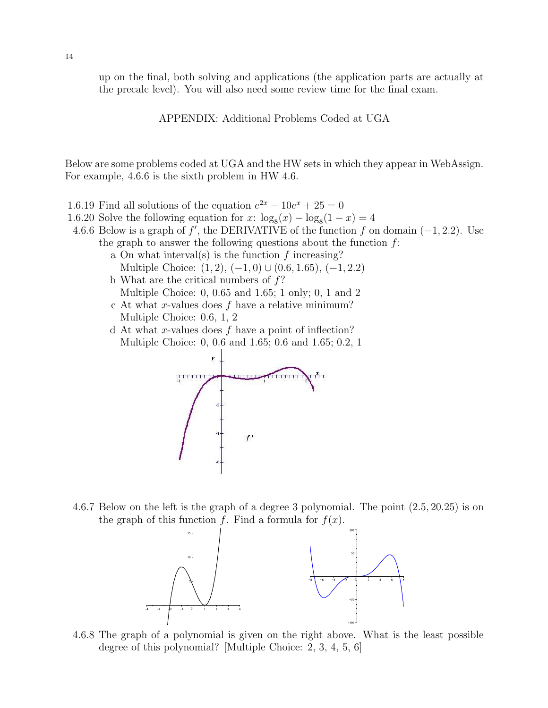up on the final, both solving and applications (the application parts are actually at the precalc level). You will also need some review time for the final exam.

APPENDIX: Additional Problems Coded at UGA

Below are some problems coded at UGA and the HW sets in which they appear in WebAssign. For example, 4.6.6 is the sixth problem in HW 4.6.

- 1.6.19 Find all solutions of the equation  $e^{2x} 10e^{x} + 25 = 0$
- 1.6.20 Solve the following equation for  $x: \log_8(x) \log_8(1-x) = 4$
- 4.6.6 Below is a graph of f', the DERIVATIVE of the function f on domain  $(-1, 2.2)$ . Use the graph to answer the following questions about the function  $f$ :
	- a On what interval(s) is the function  $f$  increasing? Multiple Choice:  $(1, 2)$ ,  $(-1, 0)$ ∪ $(0.6, 1.65)$ ,  $(-1, 2.2)$
	- b What are the critical numbers of  $f$ ? Multiple Choice: 0, 0.65 and 1.65; 1 only; 0, 1 and 2
	- c At what x-values does  $f$  have a relative minimum? Multiple Choice: 0.6, 1, 2
	- d At what x-values does  $f$  have a point of inflection? Multiple Choice: 0, 0.6 and 1.65; 0.6 and 1.65; 0.2, 1



4.6.7 Below on the left is the graph of a degree 3 polynomial. The point (2.5, 20.25) is on the graph of this function f. Find a formula for  $f(x)$ .



4.6.8 The graph of a polynomial is given on the right above. What is the least possible degree of this polynomial? [Multiple Choice: 2, 3, 4, 5, 6]